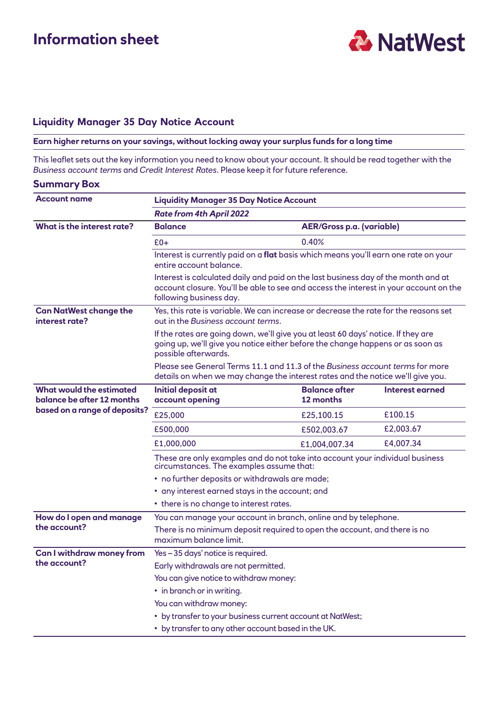## **Information sheet**



## **Liquidity Manager 35 Day Notice Account**

## **Earn higher returns on your savings, without locking away your surplus funds for a long time**

This leaflet sets out the key information you need to know about your account. It should be read together with the *Business account terms* and *Credit Interest Rates*. Please keep it for future reference.

## **Summary Box**

| <b>Account name</b>                                                                            | <b>Liquidity Manager 35 Day Notice Account</b>                                                                                                                                                         |                                   |                 |  |
|------------------------------------------------------------------------------------------------|--------------------------------------------------------------------------------------------------------------------------------------------------------------------------------------------------------|-----------------------------------|-----------------|--|
|                                                                                                | <b>Rate from 4th April 2022</b>                                                                                                                                                                        |                                   |                 |  |
| What is the interest rate?                                                                     | <b>Balance</b><br><b>AER/Gross p.a. (variable)</b>                                                                                                                                                     |                                   |                 |  |
|                                                                                                | $E0+$                                                                                                                                                                                                  | 0.40%                             |                 |  |
|                                                                                                | Interest is currently paid on a flat basis which means you'll earn one rate on your<br>entire account balance.                                                                                         |                                   |                 |  |
|                                                                                                | Interest is calculated daily and paid on the last business day of the month and at<br>account closure. You'll be able to see and access the interest in your account on the<br>following business day. |                                   |                 |  |
| <b>Can NatWest change the</b><br>interest rate?                                                | Yes, this rate is variable. We can increase or decrease the rate for the reasons set<br>out in the Business account terms.                                                                             |                                   |                 |  |
|                                                                                                | If the rates are going down, we'll give you at least 60 days' notice. If they are<br>going up, we'll give you notice either before the change happens or as soon as<br>possible afterwards.            |                                   |                 |  |
|                                                                                                | Please see General Terms 11.1 and 11.3 of the Business account terms for more<br>details on when we may change the interest rates and the notice we'll give you.                                       |                                   |                 |  |
| <b>What would the estimated</b><br>balance be after 12 months<br>based on a range of deposits? | Initial deposit at<br>account opening                                                                                                                                                                  | <b>Balance after</b><br>12 months | Interest earned |  |
|                                                                                                | £25,000                                                                                                                                                                                                | £25,100.15                        | £100.15         |  |
|                                                                                                | £500,000                                                                                                                                                                                               | £502,003.67                       | £2,003.67       |  |
|                                                                                                | £1,000,000                                                                                                                                                                                             | £1,004,007.34                     | £4,007.34       |  |
|                                                                                                | These are only examples and do not take into account your individual business<br>circumstances. The examples assume that:                                                                              |                                   |                 |  |
|                                                                                                | • no further deposits or withdrawals are made;                                                                                                                                                         |                                   |                 |  |
|                                                                                                | • any interest earned stays in the account; and                                                                                                                                                        |                                   |                 |  |
|                                                                                                | • there is no change to interest rates.                                                                                                                                                                |                                   |                 |  |
| How do I open and manage<br>the account?                                                       | You can manage your account in branch, online and by telephone.                                                                                                                                        |                                   |                 |  |
|                                                                                                | There is no minimum deposit required to open the account, and there is no<br>maximum balance limit.                                                                                                    |                                   |                 |  |
| <b>Can I withdraw money from</b><br>the account?                                               | Yes-35 days' notice is required.                                                                                                                                                                       |                                   |                 |  |
|                                                                                                | Early withdrawals are not permitted.                                                                                                                                                                   |                                   |                 |  |
|                                                                                                | You can give notice to withdraw money:                                                                                                                                                                 |                                   |                 |  |
|                                                                                                | • in branch or in writing.                                                                                                                                                                             |                                   |                 |  |
|                                                                                                | You can withdraw money:                                                                                                                                                                                |                                   |                 |  |
|                                                                                                | • by transfer to your business current account at NatWest;                                                                                                                                             |                                   |                 |  |
|                                                                                                | • by transfer to any other account based in the UK.                                                                                                                                                    |                                   |                 |  |